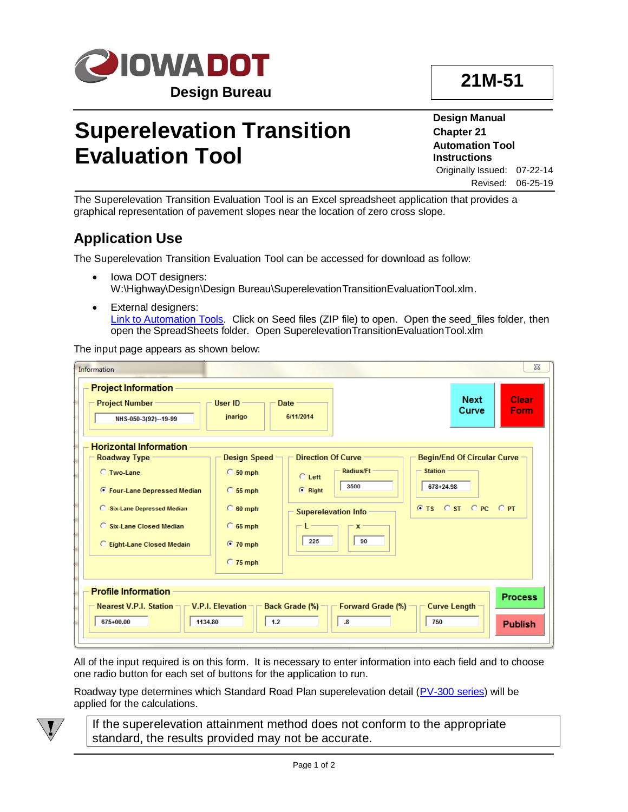

### **21M-51**

# **Superelevation Transition Evaluation Tool**

**Design Manual Chapter 21 Automation Tool Instructions** Originally Issued: 07-22-14

Revised: 06-25-19

The Superelevation Transition Evaluation Tool is an Excel spreadsheet application that provides a graphical representation of pavement slopes near the location of zero cross slope.

### **Application Use**

The Superelevation Transition Evaluation Tool can be accessed for download as follow:

- Iowa DOT designers: W:\Highway\Design\Design Bureau\SuperelevationTransitionEvaluationTool.xlm.
- External designers: [Link to Automation Tools.](../Automation-tools) Click on Seed files (ZIP file) to open. Open the seed\_files folder, then open the SpreadSheets folder. Open SuperelevationTransitionEvaluationTool.xlm

The input page appears as shown below:

| Information                                                                                                                                                                                                      |                                                                                                      |                                                                                         |                                                                                                       |                                                                                            | $\Sigma$                         |
|------------------------------------------------------------------------------------------------------------------------------------------------------------------------------------------------------------------|------------------------------------------------------------------------------------------------------|-----------------------------------------------------------------------------------------|-------------------------------------------------------------------------------------------------------|--------------------------------------------------------------------------------------------|----------------------------------|
| <b>Project Information</b><br><b>Project Number -</b><br>NHS-050-3(92)--19-99                                                                                                                                    | User $ID -$<br>jnarigo                                                                               | Date :<br>6/11/2014                                                                     |                                                                                                       | <b>Next</b><br>Curve                                                                       | Clear<br>Form                    |
| <b>Horizontal Information</b><br><b>Roadway Type</b><br><b>C</b> Two-Lane<br><b>C</b> Four-Lane Depressed Median<br><b>C</b> Six-Lane Depressed Median<br>C Six-Lane Closed Median<br>C Eight-Lane Closed Medain | Design Speed -<br>$C_{50}$ mph<br>$C$ 55 mph<br>$C_60$ mph<br>$C$ 65 mph<br>$C$ 70 mph<br>$C$ 75 mph | <b>Direction Of Curve</b><br>$C$ Left<br>$C$ Right<br><b>Superelevation Info</b><br>225 | Radius/Ft -<br>3500<br>$\mathbf{x}$<br>90                                                             | <b>Begin/End Of Circular Curve -</b><br><b>Station</b><br>678+24.98<br>C TS C ST C PC C PT |                                  |
| <b>Profile Information</b><br>Nearest V.P.I. Station $\neg \neg V.P.I.$ Elevation $\neg \neg$<br>675+00.00<br>1134.80                                                                                            | 1.2                                                                                                  |                                                                                         | Back Grade (%) $\neg \neg$ Forward Grade (%) $\neg \neg$ Curve Length -<br>$\boldsymbol{\mathsf{.8}}$ | 750                                                                                        | <b>Process</b><br><b>Publish</b> |

All of the input required is on this form. It is necessary to enter information into each field and to choose one radio button for each set of buttons for the application to run.

Roadway type determines which Standard Road Plan superelevation detail [\(PV-300 series\)](../stdplne_pv) will be applied for the calculations.



If the superelevation attainment method does not conform to the appropriate standard, the results provided may not be accurate.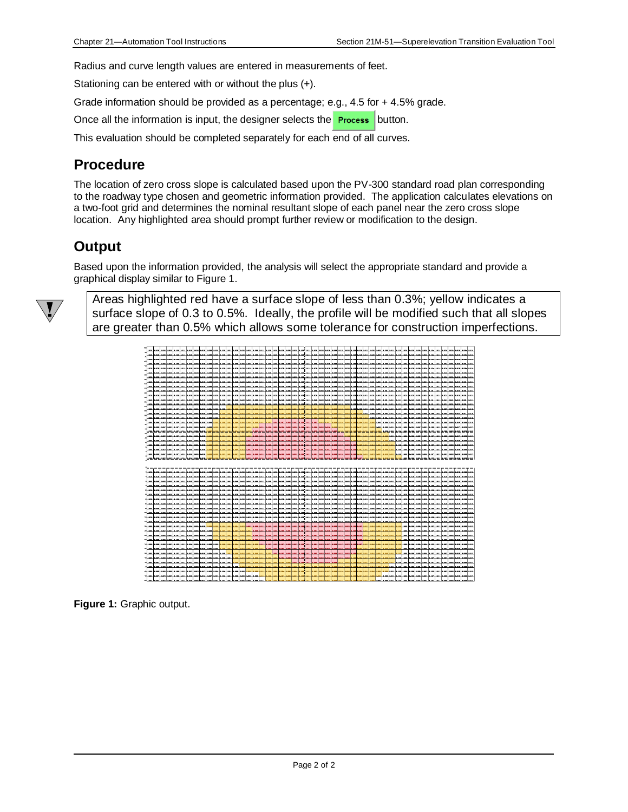Radius and curve length values are entered in measurements of feet.

Stationing can be entered with or without the plus (+).

Grade information should be provided as a percentage; e.g., 4.5 for + 4.5% grade.

Once all the information is input, the designer selects the **Process** button.

This evaluation should be completed separately for each end of all curves.

#### **Procedure**

The location of zero cross slope is calculated based upon the PV-300 standard road plan corresponding to the roadway type chosen and geometric information provided. The application calculates elevations on a two-foot grid and determines the nominal resultant slope of each panel near the zero cross slope location. Any highlighted area should prompt further review or modification to the design.

#### **Output**

Based upon the information provided, the analysis will select the appropriate standard and provide a graphical display similar to Figure 1.



Areas highlighted red have a surface slope of less than 0.3%; yellow indicates a surface slope of 0.3 to 0.5%. Ideally, the profile will be modified such that all slopes are greater than 0.5% which allows some tolerance for construction imperfections.



**Figure 1:** Graphic output.